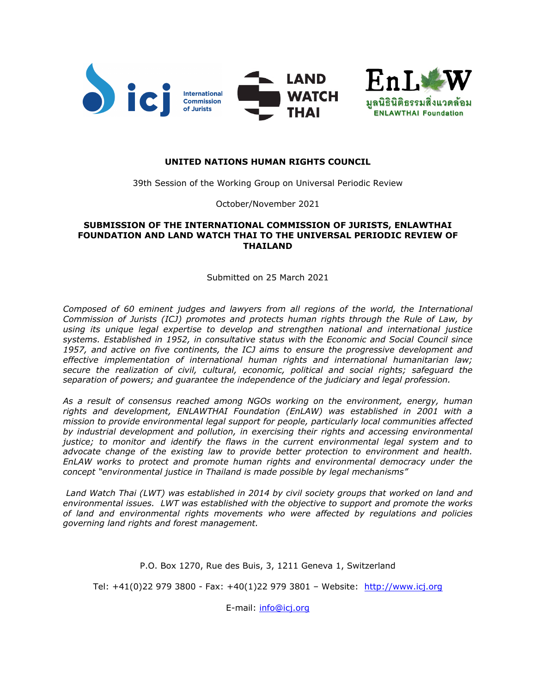

### **UNITED NATIONS HUMAN RIGHTS COUNCIL**

39th Session of the Working Group on Universal Periodic Review

October/November 2021

### **SUBMISSION OF THE INTERNATIONAL COMMISSION OF JURISTS, ENLAWTHAI FOUNDATION AND LAND WATCH THAI TO THE UNIVERSAL PERIODIC REVIEW OF THAILAND**

Submitted on 25 March 2021

*Composed of 60 eminent judges and lawyers from all regions of the world, the International Commission of Jurists (ICJ) promotes and protects human rights through the Rule of Law, by using its unique legal expertise to develop and strengthen national and international justice systems. Established in 1952, in consultative status with the Economic and Social Council since 1957, and active on five continents, the ICJ aims to ensure the progressive development and effective implementation of international human rights and international humanitarian law; secure the realization of civil, cultural, economic, political and social rights; safeguard the separation of powers; and guarantee the independence of the judiciary and legal profession.*

*As <sup>a</sup> result of consensus reached among NGOs working on the environment, energy, human rights and development, ENLAWTHAI Foundation (EnLAW) was established in 2001 with <sup>a</sup> mission to provide environmental legal support for people, particularly local communities affected by industrial development and pollution, in exercising their rights and accessing environmental justice; to monitor and identify the flaws in the current environmental legal system and to advocate change of the existing law to provide better protection to environment and health. EnLAW works to protect and promote human rights and environmental democracy under the concept "environmental justice in Thailand is made possible by legal mechanisms"*

*Land Watch Thai (LWT) was established in 2014 by civil society groups that worked on land and environmental issues. LWT was established with the objective to support and promote the works of land and environmental rights movements who were affected by regulations and policies governing land rights and forest management.*

P.O. Box 1270, Rue des Buis, 3, 1211 Geneva 1, Switzerland

Tel: +41(0)22 979 3800 - Fax: +40(1)22 979 3801 – Website: <http://www.icj.org>

E-mail: [info@icj.org](mailto:info@icj.org)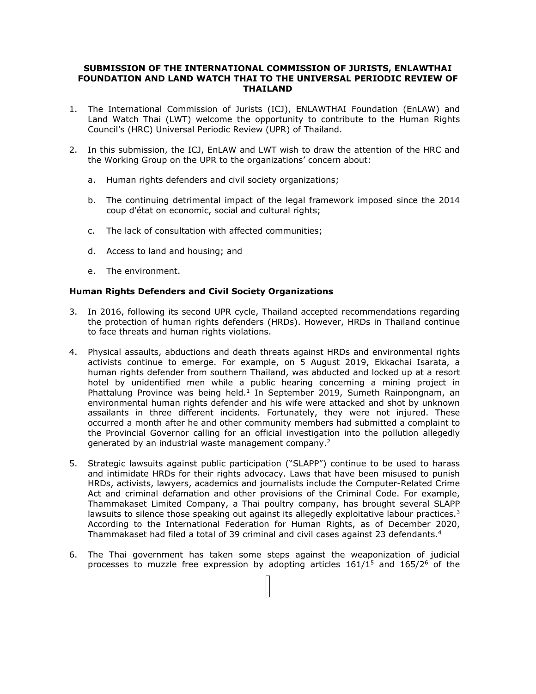### **SUBMISSION OF THE INTERNATIONAL COMMISSION OF JURISTS, ENLAWTHAI FOUNDATION AND LAND WATCH THAI TO THE UNIVERSAL PERIODIC REVIEW OF THAILAND**

- 1. The International Commission of Jurists (ICJ), ENLAWTHAI Foundation (EnLAW) and Land Watch Thai (LWT) welcome the opportunity to contribute to the Human Rights Council'<sup>s</sup> (HRC) Universal Periodic Review (UPR) of Thailand.
- 2. In this submission, the ICJ, EnLAW and LWT wish to draw the attention of the HRC and the Working Group on the UPR to the organizations' concern about:
	- a. Human rights defenders and civil society organizations;
	- b. The continuing detrimental impact of the legal framework imposed since the 2014 coup d'état on economic, social and cultural rights;
	- c. The lack of consultation with affected communities;
	- d. Access to land and housing; and
	- e. The environment.

### **Human Rights Defenders and Civil Society Organizations**

- 3. In 2016, following its second UPR cycle, Thailand accepted recommendations regarding the protection of human rights defenders (HRDs). However, HRDs in Thailand continue to face threats and human rights violations.
- 4. Physical assaults, abductions and death threats against HRDs and environmental rights activists continue to emerge. For example, on 5 August 2019, Ekkachai Isarata, <sup>a</sup> human rights defender from southern Thailand, was abducted and locked up at <sup>a</sup> resort hotel by unidentified men while <sup>a</sup> public hearing concerning <sup>a</sup> mining project in Phattalung Province was being held.<sup>1</sup> In September 2019, Sumeth Rainpongnam, an environmental human rights defender and his wife were attacked and shot by unknown assailants in three different incidents. Fortunately, they were not injured. These occurred <sup>a</sup> month after he and other community members had submitted <sup>a</sup> complaint to the Provincial Governor calling for an official investigation into the pollution allegedly generated by an industrial waste management company.<sup>2</sup>
- 5. Strategic lawsuits against public participation ("SLAPP") continue to be used to harass and intimidate HRDs for their rights advocacy. Laws that have been misused to punish HRDs, activists, lawyers, academics and journalists include the Computer-Related Crime Act and criminal defamation and other provisions of the Criminal Code. For example, Thammakaset Limited Company, <sup>a</sup> Thai poultry company, has brought several SLAPP lawsuits to silence those speaking out against its allegedly exploitative labour practices.<sup>3</sup> According to the International Federation for Human Rights, as of December 2020, Thammakaset had filed <sup>a</sup> total of 39 criminal and civil cases against 23 defendants. 4
- 6. The Thai government has taken some steps against the weaponization of judicial processes to muzzle free expression by adopting articles  $161/1<sup>5</sup>$  and  $165/2<sup>6</sup>$  of the

 $\Box$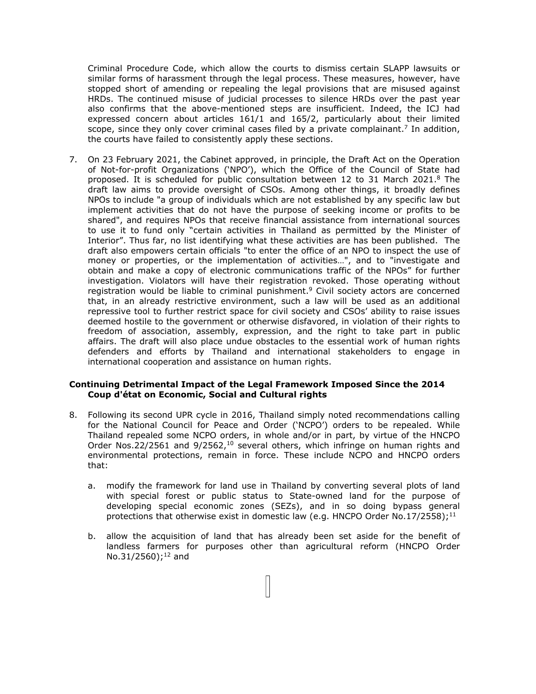Criminal Procedure Code, which allow the courts to dismiss certain SLAPP lawsuits or similar forms of harassment through the legal process. These measures, however, have stopped short of amending or repealing the legal provisions that are misused against HRDs. The continued misuse of judicial processes to silence HRDs over the past year also confirms that the above-mentioned steps are insufficient. Indeed, the ICJ had expressed concern about articles 161/1 and 165/2, particularly about their limited scope, since they only cover criminal cases filed by a private complainant.<sup>7</sup> In addition, the courts have failed to consistently apply these sections.

7. On 23 February 2021, the Cabinet approved, in principle, the Draft Act on the Operation of Not-for-profit Organizations ('NPO'), which the Office of the Council of State had proposed. It is scheduled for public consultation between 12 to 31 March 2021. $^8$  The draft law aims to provide oversight of CSOs. Among other things, it broadly defines NPOs to include "a group of individuals which are not established by any specific law but implement activities that do not have the purpose of seeking income or profits to be shared", and requires NPOs that receive financial assistance from international sources to use it to fund only "certain activities in Thailand as permitted by the Minister of Interior". Thus far, no list identifying what these activities are has been published. The draft also empowers certain officials "to enter the office of an NPO to inspect the use of money or properties, or the implementation of activities…", and to "investigate and obtain and make <sup>a</sup> copy of electronic communications traffic of the NPOs" for further investigation. Violators will have their registration revoked. Those operating without registration would be liable to criminal punishment. <sup>9</sup> Civil society actors are concerned that, in an already restrictive environment, such <sup>a</sup> law will be used as an additional repressive tool to further restrict space for civil society and CSOs' ability to raise issues deemed hostile to the government or otherwise disfavored, in violation of their rights to freedom of association, assembly, expression, and the right to take part in public affairs. The draft will also place undue obstacles to the essential work of human rights defenders and efforts by Thailand and international stakeholders to engage in international cooperation and assistance on human rights.

### **Continuing Detrimental Impact of the Legal Framework Imposed Since the 2014 Coup d'état on Economic, Social and Cultural rights**

- 8. Following its second UPR cycle in 2016, Thailand simply noted recommendations calling for the National Council for Peace and Order ('NCPO') orders to be repealed. While Thailand repealed some NCPO orders, in whole and/or in part, by virtue of the HNCPO Order Nos.22/2561 and 9/2562,<sup>10</sup> several others, which infringe on human rights and environmental protections, remain in force. These include NCPO and HNCPO orders that:
	- a. modify the framework for land use in Thailand by converting several plots of land with special forest or public status to State-owned land for the purpose of developing special economic zones (SEZs), and in so doing bypass general protections that otherwise exist in domestic law (e.g. HNCPO Order No.17/2558);<sup>11</sup>
	- b. allow the acquisition of land that has already been set aside for the benefit of landless farmers for purposes other than agricultural reform (HNCPO Order No.31/2560);<sup>12</sup> and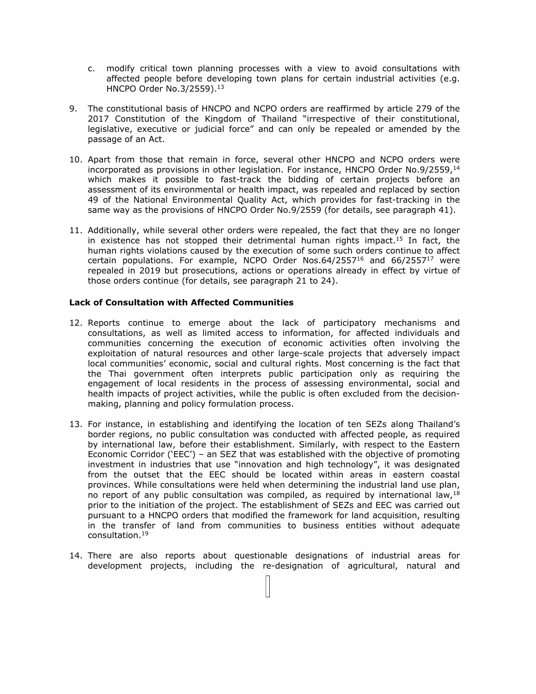- c. modify critical town planning processes with <sup>a</sup> view to avoid consultations with affected people before developing town plans for certain industrial activities (e.g. HNCPO Order No.3/2559). 13
- 9. The constitutional basis of HNCPO and NCPO orders are reaffirmed by article 279 of the 2017 Constitution of the Kingdom of Thailand "irrespective of their constitutional, legislative, executive or judicial force" and can only be repealed or amended by the passage of an Act.
- 10. Apart from those that remain in force, several other HNCPO and NCPO orders were incorporated as provisions in other legislation. For instance, HNCPO Order No.9/2559, 14 which makes it possible to fast-track the bidding of certain projects before an assessment of its environmental or health impact, was repealed and replaced by section 49 of the National Environmental Quality Act, which provides for fast-tracking in the same way as the provisions of HNCPO Order No.9/2559 (for details, see paragraph 41).
- 11. Additionally, while several other orders were repealed, the fact that they are no longer in existence has not stopped their detrimental human rights impact.<sup>15</sup> In fact, the human rights violations caused by the execution of some such orders continue to affect certain populations. For example, NCPO Order Nos.64/2557<sup>16</sup> and 66/2557<sup>17</sup> were repealed in 2019 but prosecutions, actions or operations already in effect by virtue of those orders continue (for details, see paragraph 21 to 24).

## **Lack of Consultation with Affected Communities**

- 12. Reports continue to emerge about the lack of participatory mechanisms and consultations, as well as limited access to information, for affected individuals and communities concerning the execution of economic activities often involving the exploitation of natural resources and other large-scale projects that adversely impact local communities' economic, social and cultural rights. Most concerning is the fact that the Thai government often interprets public participation only as requiring the engagement of local residents in the process of assessing environmental, social and health impacts of project activities, while the public is often excluded from the decisionmaking, planning and policy formulation process.
- 13. For instance, in establishing and identifying the location of ten SEZs along Thailand'<sup>s</sup> border regions, no public consultation was conducted with affected people, as required by international law, before their establishment. Similarly, with respect to the Eastern Economic Corridor ('EEC') – an SEZ that was established with the objective of promoting investment in industries that use "innovation and high technology", it was designated from the outset that the EEC should be located within areas in eastern coastal provinces. While consultations were held when determining the industrial land use plan, no report of any public consultation was compiled, as required by international law,  $^{18}$ prior to the initiation of the project. The establishment of SEZs and EEC was carried out pursuant to <sup>a</sup> HNCPO orders that modified the framework for land acquisition, resulting in the transfer of land from communities to business entities without adequate consultation. 19
- 14. There are also reports about questionable designations of industrial areas for development projects, including the re-designation of agricultural, natural and

 $\overline{11}$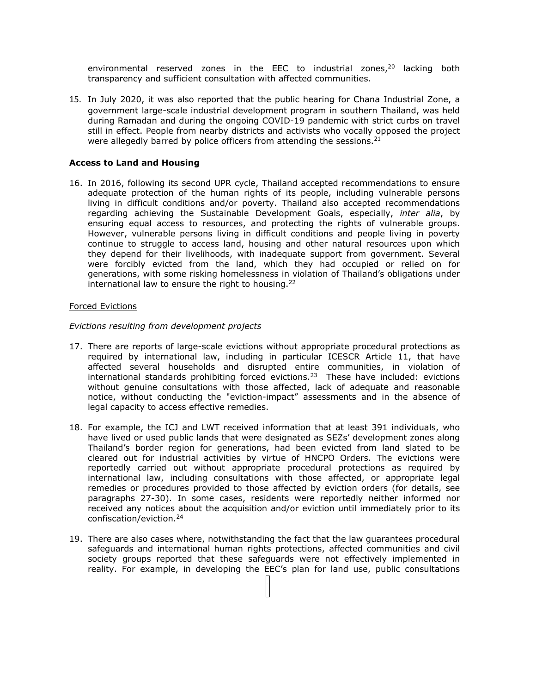environmental reserved zones in the EEC to industrial zones,<sup>20</sup> lacking both transparency and sufficient consultation with affected communities.

15. In July 2020, it was also reported that the public hearing for Chana Industrial Zone, <sup>a</sup> government large-scale industrial development program in southern Thailand, was held during Ramadan and during the ongoing COVID-19 pandemic with strict curbs on travel still in effect. People from nearby districts and activists who vocally opposed the project were allegedly barred by police officers from attending the sessions. $^{21}$ 

### **Access to Land and Housing**

16. In 2016, following its second UPR cycle, Thailand accepted recommendations to ensure adequate protection of the human rights of its people, including vulnerable persons living in difficult conditions and/or poverty. Thailand also accepted recommendations regarding achieving the Sustainable Development Goals, especially, *inter alia*, by ensuring equal access to resources, and protecting the rights of vulnerable groups. However, vulnerable persons living in difficult conditions and people living in poverty continue to struggle to access land, housing and other natural resources upon which they depend for their livelihoods, with inadequate support from government. Several were forcibly evicted from the land, which they had occupied or relied on for generations, with some risking homelessness in violation of Thailand'<sup>s</sup> obligations under international law to ensure the right to housing.<sup>22</sup>

#### Forced Evictions

#### *Evictions resulting from development projects*

- 17. There are reports of large-scale evictions without appropriate procedural protections as required by international law, including in particular ICESCR Article 11, that have affected several households and disrupted entire communities, in violation of international standards prohibiting forced evictions. 23 These have included: evictions without genuine consultations with those affected, lack of adequate and reasonable notice, without conducting the "eviction-impact" assessments and in the absence of legal capacity to access effective remedies.
- 18. For example, the ICJ and LWT received information that at least 391 individuals, who have lived or used public lands that were designated as SEZs' development zones along Thailand'<sup>s</sup> border region for generations, had been evicted from land slated to be cleared out for industrial activities by virtue of HNCPO Orders. The evictions were reportedly carried out without appropriate procedural protections as required by international law, including consultations with those affected, or appropriate legal remedies or procedures provided to those affected by eviction orders (for details, see paragraphs 27-30). In some cases, residents were reportedly neither informed nor received any notices about the acquisition and/or eviction until immediately prior to its confiscation/eviction. 24
- 19. There are also cases where, notwithstanding the fact that the law guarantees procedural safeguards and international human rights protections, affected communities and civil society groups reported that these safeguards were not effectively implemented in reality. For example, in developing the EEC'<sup>s</sup> plan for land use, public consultations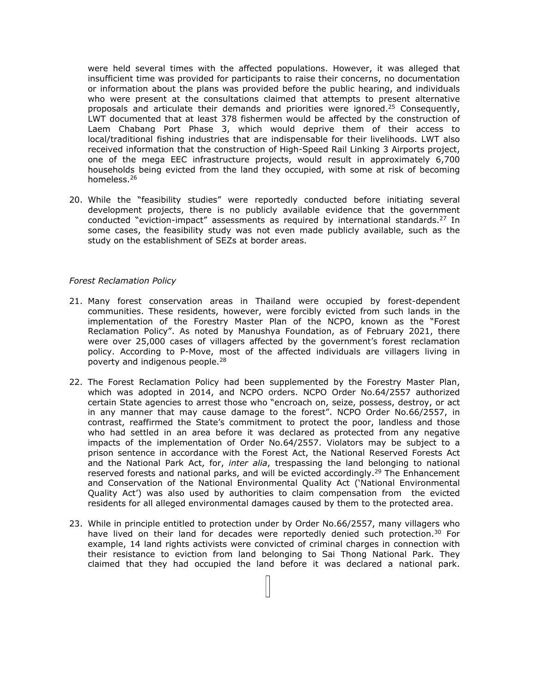were held several times with the affected populations. However, it was alleged that insufficient time was provided for participants to raise their concerns, no documentation or information about the plans was provided before the public hearing, and individuals who were present at the consultations claimed that attempts to present alternative proposals and articulate their demands and priorities were ignored.<sup>25</sup> Consequently, LWT documented that at least 378 fishermen would be affected by the construction of Laem Chabang Port Phase 3, which would deprive them of their access to local/traditional fishing industries that are indispensable for their livelihoods. LWT also received information that the construction of High-Speed Rail Linking 3 Airports project, one of the mega EEC infrastructure projects, would result in approximately 6,700 households being evicted from the land they occupied, with some at risk of becoming homeless. 26

20. While the "feasibility studies" were reportedly conducted before initiating several development projects, there is no publicly available evidence that the government conducted "eviction-impact" assessments as required by international standards.<sup>27</sup> In some cases, the feasibility study was not even made publicly available, such as the study on the establishment of SEZs at border areas.

#### *Forest Reclamation Policy*

- 21. Many forest conservation areas in Thailand were occupied by forest-dependent communities. These residents, however, were forcibly evicted from such lands in the implementation of the Forestry Master Plan of the NCPO, known as the "Forest Reclamation Policy". As noted by Manushya Foundation, as of February 2021, there were over 25,000 cases of villagers affected by the government'<sup>s</sup> forest reclamation policy. According to P-Move, most of the affected individuals are villagers living in poverty and indigenous people. 28
- 22. The Forest Reclamation Policy had been supplemented by the Forestry Master Plan, which was adopted in 2014, and NCPO orders. NCPO Order No.64/2557 authorized certain State agencies to arrest those who "encroach on, seize, possess, destroy, or act in any manner that may cause damage to the forest". NCPO Order No.66/2557, in contrast, reaffirmed the State'<sup>s</sup> commitment to protect the poor, landless and those who had settled in an area before it was declared as protected from any negative impacts of the implementation of Order No.64/2557. Violators may be subject to <sup>a</sup> prison sentence in accordance with the Forest Act, the National Reserved Forests Act and the National Park Act, for, *inter alia*, trespassing the land belonging to national reserved forests and national parks, and will be evicted accordingly.<sup>29</sup> The Enhancement and Conservation of the National Environmental Quality Act ('National Environmental Quality Act') was also used by authorities to claim compensation from the evicted residents for all alleged environmental damages caused by them to the protected area.
- 23. While in principle entitled to protection under by Order No.66/2557, many villagers who have lived on their land for decades were reportedly denied such protection.<sup>30</sup> For example, 14 land rights activists were convicted of criminal charges in connection with their resistance to eviction from land belonging to Sai Thong National Park. They claimed that they had occupied the land before it was declared <sup>a</sup> national park.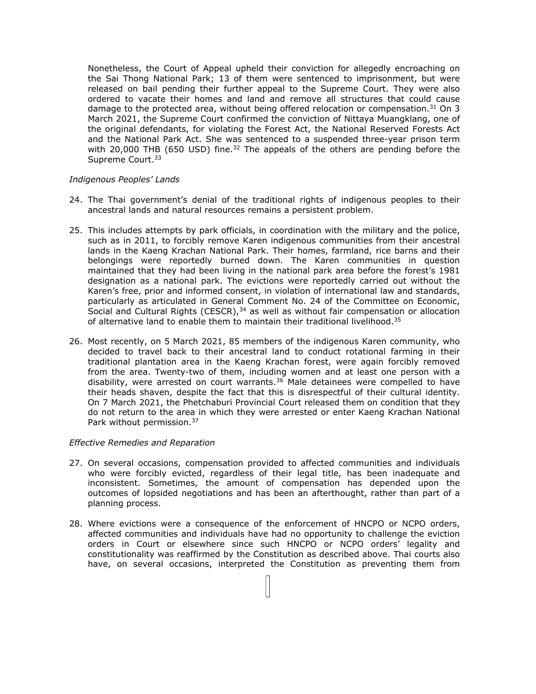Nonetheless, the Court of Appeal upheld their conviction for allegedly encroaching on the Sai Thong National Park; 13 of them were sentenced to imprisonment, but were released on bail pending their further appeal to the Supreme Court. They were also ordered to vacate their homes and land and remove all structures that could cause damage to the protected area, without being offered relocation or compensation.<sup>31</sup> On 3 March 2021, the Supreme Court confirmed the conviction of Nittaya Muangklang, one of the original defendants, for violating the Forest Act, the National Reserved Forests Act and the National Park Act. She was sentenced to <sup>a</sup> suspended three-year prison term with 20,000 THB (650 USD) fine.<sup>32</sup> The appeals of the others are pending before the Supreme Court. 33

## *Indigenous Peoples' Lands*

- 24. The Thai government'<sup>s</sup> denial of the traditional rights of indigenous peoples to their ancestral lands and natural resources remains <sup>a</sup> persistent problem.
- 25. This includes attempts by park officials, in coordination with the military and the police, such as in 2011, to forcibly remove Karen indigenous communities from their ancestral lands in the Kaeng Krachan National Park. Their homes, farmland, rice barns and their belongings were reportedly burned down. The Karen communities in question maintained that they had been living in the national park area before the forest'<sup>s</sup> 1981 designation as <sup>a</sup> national park. The evictions were reportedly carried out without the Karen'<sup>s</sup> free, prior and informed consent, in violation of international law and standards, particularly as articulated in General Comment No. 24 of the Committee on Economic, Social and Cultural Rights (CESCR), $^{\rm 34}$  as well as without fair compensation or allocation of alternative land to enable them to maintain their traditional livelihood. $^{35}$
- 26. Most recently, on 5 March 2021, 85 members of the indigenous Karen community, who decided to travel back to their ancestral land to conduct rotational farming in their traditional plantation area in the Kaeng Krachan forest, were again forcibly removed from the area. Twenty-two of them, including women and at least one person with <sup>a</sup> disability, were arrested on court warrants.<sup>36</sup> Male detainees were compelled to have their heads shaven, despite the fact that this is disrespectful of their cultural identity. On 7 March 2021, the Phetchaburi Provincial Court released them on condition that they do not return to the area in which they were arrested or enter Kaeng Krachan National Park without permission.<sup>37</sup>

### *Effective Remedies and Reparation*

- 27. On several occasions, compensation provided to affected communities and individuals who were forcibly evicted, regardless of their legal title, has been inadequate and inconsistent. Sometimes, the amount of compensation has depended upon the outcomes of lopsided negotiations and has been an afterthought, rather than part of <sup>a</sup> planning process.
- 28. Where evictions were <sup>a</sup> consequence of the enforcement of HNCPO or NCPO orders, affected communities and individuals have had no opportunity to challenge the eviction orders in Court or elsewhere since such HNCPO or NCPO orders' legality and constitutionality was reaffirmed by the Constitution as described above. Thai courts also have, on several occasions, interpreted the Constitution as preventing them from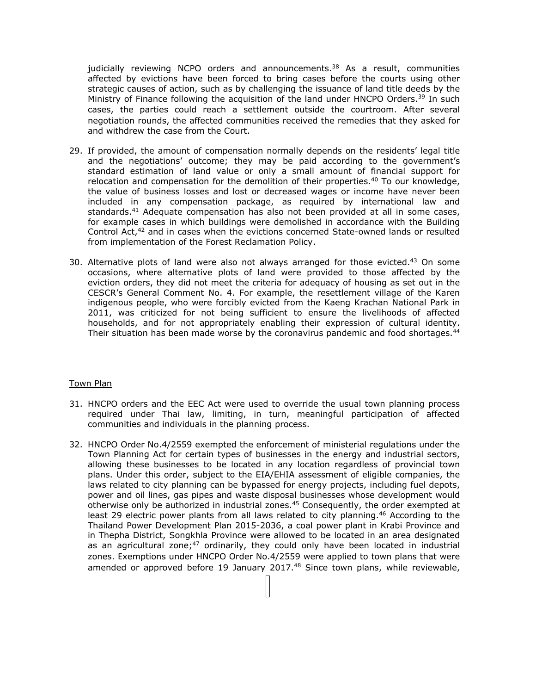judicially reviewing NCPO orders and announcements.<sup>38</sup> As a result, communities affected by evictions have been forced to bring cases before the courts using other strategic causes of action, such as by challenging the issuance of land title deeds by the Ministry of Finance following the acquisition of the land under HNCPO Orders.<sup>39</sup> In such cases, the parties could reach <sup>a</sup> settlement outside the courtroom. After several negotiation rounds, the affected communities received the remedies that they asked for and withdrew the case from the Court.

- 29. If provided, the amount of compensation normally depends on the residents' legal title and the negotiations' outcome; they may be paid according to the government'<sup>s</sup> standard estimation of land value or only <sup>a</sup> small amount of financial support for relocation and compensation for the demolition of their properties. 40 To our knowledge, the value of business losses and lost or decreased wages or income have never been included in any compensation package, as required by international law and standards. <sup>41</sup> Adequate compensation has also not been provided at all in some cases, for example cases in which buildings were demolished in accordance with the Building Control Act,<sup>42</sup> and in cases when the evictions concerned State-owned lands or resulted from implementation of the Forest Reclamation Policy.
- 30. Alternative plots of land were also not always arranged for those evicted. $^{43}$  On some occasions, where alternative plots of land were provided to those affected by the eviction orders, they did not meet the criteria for adequacy of housing as set out in the CESCR'<sup>s</sup> General Comment No. 4. For example, the resettlement village of the Karen indigenous people, who were forcibly evicted from the Kaeng Krachan National Park in 2011, was criticized for not being sufficient to ensure the livelihoods of affected households, and for not appropriately enabling their expression of cultural identity. Their situation has been made worse by the coronavirus pandemic and food shortages.<sup>44</sup>

### Town Plan

- 31. HNCPO orders and the EEC Act were used to override the usual town planning process required under Thai law, limiting, in turn, meaningful participation of affected communities and individuals in the planning process.
- 32. HNCPO Order No.4/2559 exempted the enforcement of ministerial regulations under the Town Planning Act for certain types of businesses in the energy and industrial sectors, allowing these businesses to be located in any location regardless of provincial town plans. Under this order, subject to the EIA/EHIA assessment of eligible companies, the laws related to city planning can be bypassed for energy projects, including fuel depots, power and oil lines, gas pipes and waste disposal businesses whose development would otherwise only be authorized in industrial zones. <sup>45</sup> Consequently, the order exempted at least 29 electric power plants from all laws related to city planning.<sup>46</sup> According to the Thailand Power Development Plan 2015-2036, <sup>a</sup> coal power plant in Krabi Province and in Thepha District, Songkhla Province were allowed to be located in an area designated as an agricultural zone;<sup>47</sup> ordinarily, they could only have been located in industrial zones. Exemptions under HNCPO Order No.4/2559 were applied to town plans that were amended or approved before 19 January 2017. <sup>48</sup> Since town plans, while reviewable,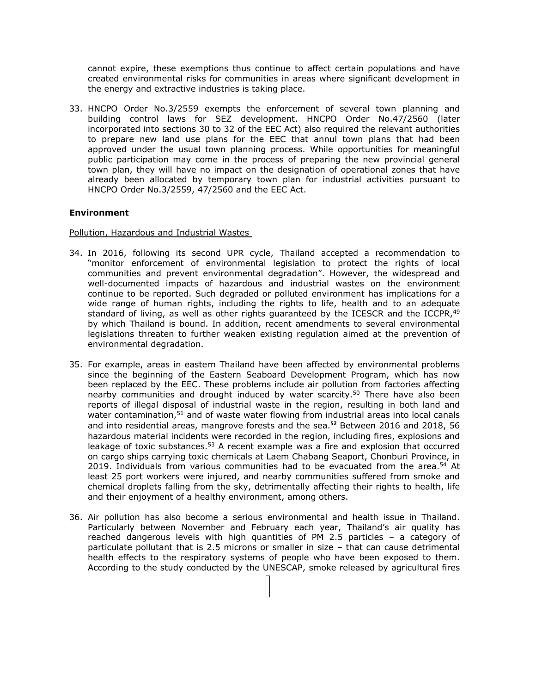cannot expire, these exemptions thus continue to affect certain populations and have created environmental risks for communities in areas where significant development in the energy and extractive industries is taking place.

33. HNCPO Order No.3/2559 exempts the enforcement of several town planning and building control laws for SEZ development. HNCPO Order No.47/2560 (later incorporated into sections 30 to 32 of the EEC Act) also required the relevant authorities to prepare new land use plans for the EEC that annul town plans that had been approved under the usual town planning process. While opportunities for meaningful public participation may come in the process of preparing the new provincial general town plan, they will have no impact on the designation of operational zones that have already been allocated by temporary town plan for industrial activities pursuant to HNCPO Order No.3/2559, 47/2560 and the EEC Act.

## **Environment**

Pollution, Hazardous and Industrial Wastes

- 34. In 2016, following its second UPR cycle, Thailand accepted <sup>a</sup> recommendation to "monitor enforcement of environmental legislation to protect the rights of local communities and prevent environmental degradation". However, the widespread and well-documented impacts of hazardous and industrial wastes on the environment continue to be reported. Such degraded or polluted environment has implications for <sup>a</sup> wide range of human rights, including the rights to life, health and to an adequate standard of living, as well as other rights guaranteed by the ICESCR and the ICCPR, 49 by which Thailand is bound. In addition, recent amendments to several environmental legislations threaten to further weaken existing regulation aimed at the prevention of environmental degradation.
- 35. For example, areas in eastern Thailand have been affected by environmental problems since the beginning of the Eastern Seaboard Development Program, which has now been replaced by the EEC. These problems include air pollution from factories affecting nearby communities and drought induced by water scarcity.<sup>50</sup> There have also been reports of illegal disposal of industrial waste in the region, resulting in both land and water contamination,<sup>51</sup> and of waste water flowing from industrial areas into local canals and into residential areas, mangrove forests and the sea. **52** Between 2016 and 2018, 56 hazardous material incidents were recorded in the region, including fires, explosions and leakage of toxic substances.<sup>53</sup> A recent example was a fire and explosion that occurred on cargo ships carrying toxic chemicals at Laem Chabang Seaport, Chonburi Province, in 2019. Individuals from various communities had to be evacuated from the area.<sup>54</sup> At least 25 port workers were injured, and nearby communities suffered from smoke and chemical droplets falling from the sky, detrimentally affecting their rights to health, life and their enjoyment of <sup>a</sup> healthy environment, among others.
- 36. Air pollution has also become <sup>a</sup> serious environmental and health issue in Thailand. Particularly between November and February each year, Thailand'<sup>s</sup> air quality has reached dangerous levels with high quantities of PM 2.5 particles – <sup>a</sup> category of particulate pollutant that is 2.5 microns or smaller in size – that can cause detrimental health effects to the respiratory systems of people who have been exposed to them. According to the study conducted by the UNESCAP, smoke released by agricultural fires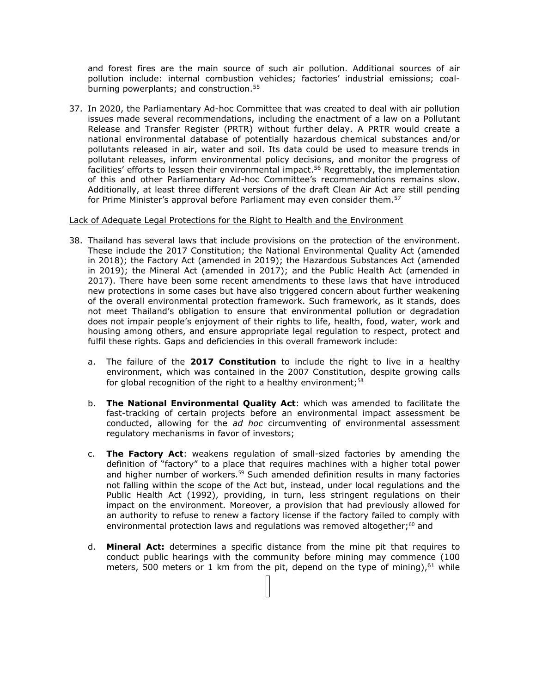and forest fires are the main source of such air pollution. Additional sources of air pollution include: internal combustion vehicles; factories' industrial emissions; coalburning powerplants; and construction. 55

37. In 2020, the Parliamentary Ad-hoc Committee that was created to deal with air pollution issues made several recommendations, including the enactment of <sup>a</sup> law on <sup>a</sup> Pollutant Release and Transfer Register (PRTR) without further delay. A PRTR would create <sup>a</sup> national environmental database of potentially hazardous chemical substances and/or pollutants released in air, water and soil. Its data could be used to measure trends in pollutant releases, inform environmental policy decisions, and monitor the progress of facilities' efforts to lessen their environmental impact.<sup>56</sup> Regrettably, the implementation of this and other Parliamentary Ad-hoc Committee'<sup>s</sup> recommendations remains slow. Additionally, at least three different versions of the draft Clean Air Act are still pending for Prime Minister's approval before Parliament may even consider them.<sup>57</sup>

#### Lack of Adequate Legal Protections for the Right to Health and the Environment

- 38. Thailand has several laws that include provisions on the protection of the environment. These include the 2017 Constitution; the National Environmental Quality Act (amended in 2018); the Factory Act (amended in 2019); the Hazardous Substances Act (amended in 2019); the Mineral Act (amended in 2017); and the Public Health Act (amended in 2017). There have been some recent amendments to these laws that have introduced new protections in some cases but have also triggered concern about further weakening of the overall environmental protection framework. Such framework, as it stands, does not meet Thailand'<sup>s</sup> obligation to ensure that environmental pollution or degradation does not impair people'<sup>s</sup> enjoyment of their rights to life, health, food, water, work and housing among others, and ensure appropriate legal regulation to respect, protect and fulfil these rights. Gaps and deficiencies in this overall framework include:
	- a. The failure of the **2017 Constitution** to include the right to live in <sup>a</sup> healthy environment, which was contained in the 2007 Constitution, despite growing calls for global recognition of the right to <sup>a</sup> healthy environment; 58
	- b. **The National Environmental Quality Act**: which was amended to facilitate the fast-tracking of certain projects before an environmental impact assessment be conducted, allowing for the *ad hoc* circumventing of environmental assessment regulatory mechanisms in favor of investors;
	- c. **The Factory Act**: weakens regulation of small-sized factories by amending the definition of "factory" to <sup>a</sup> place that requires machines with <sup>a</sup> higher total power and higher number of workers.<sup>59</sup> Such amended definition results in many factories not falling within the scope of the Act but, instead, under local regulations and the Public Health Act (1992), providing, in turn, less stringent regulations on their impact on the environment. Moreover, <sup>a</sup> provision that had previously allowed for an authority to refuse to renew <sup>a</sup> factory license if the factory failed to comply with environmental protection laws and regulations was removed altogether; $^{60}$  and
	- d. **Mineral Act:** determines <sup>a</sup> specific distance from the mine pit that requires to conduct public hearings with the community before mining may commence (100 meters, 500 meters or 1 km from the pit, depend on the type of mining), $^{61}$  while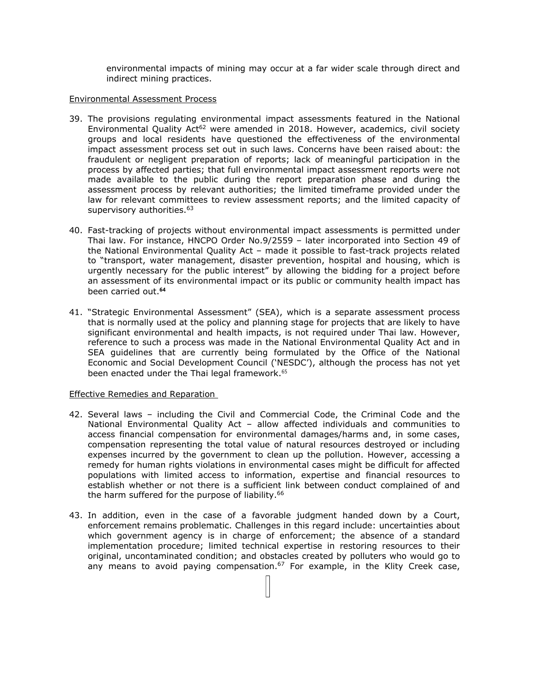environmental impacts of mining may occur at <sup>a</sup> far wider scale through direct and indirect mining practices.

### Environmental Assessment Process

- 39. The provisions regulating environmental impact assessments featured in the National Environmental Quality Act<sup>62</sup> were amended in 2018. However, academics, civil society groups and local residents have questioned the effectiveness of the environmental impact assessment process set out in such laws. Concerns have been raised about: the fraudulent or negligent preparation of reports; lack of meaningful participation in the process by affected parties; that full environmental impact assessment reports were not made available to the public during the report preparation phase and during the assessment process by relevant authorities; the limited timeframe provided under the law for relevant committees to review assessment reports; and the limited capacity of supervisory authorities.<sup>63</sup>
- 40. Fast-tracking of projects without environmental impact assessments is permitted under Thai law. For instance, HNCPO Order No.9/2559 – later incorporated into Section 49 of the National Environmental Quality Act – made it possible to fast-track projects related to "transport, water management, disaster prevention, hospital and housing, which is urgently necessary for the public interest" by allowing the bidding for <sup>a</sup> project before an assessment of its environmental impact or its public or community health impact has been carried out. **64**
- 41. "Strategic Environmental Assessment" (SEA), which is <sup>a</sup> separate assessment process that is normally used at the policy and planning stage for projects that are likely to have significant environmental and health impacts, is not required under Thai law. However, reference to such <sup>a</sup> process was made in the National Environmental Quality Act and in SEA guidelines that are currently being formulated by the Office of the National Economic and Social Development Council ('NESDC'), although the process has not yet been enacted under the Thai legal framework. 65

### Effective Remedies and Reparation

- 42. Several laws including the Civil and Commercial Code, the Criminal Code and the National Environmental Quality Act – allow affected individuals and communities to access financial compensation for environmental damages/harms and, in some cases, compensation representing the total value of natural resources destroyed or including expenses incurred by the government to clean up the pollution. However, accessing <sup>a</sup> remedy for human rights violations in environmental cases might be difficult for affected populations with limited access to information, expertise and financial resources to establish whether or not there is <sup>a</sup> sufficient link between conduct complained of and the harm suffered for the purpose of liability. 66
- 43. In addition, even in the case of <sup>a</sup> favorable judgment handed down by <sup>a</sup> Court, enforcement remains problematic. Challenges in this regard include: uncertainties about which government agency is in charge of enforcement; the absence of <sup>a</sup> standard implementation procedure; limited technical expertise in restoring resources to their original, uncontaminated condition; and obstacles created by polluters who would go to any means to avoid paying compensation.<sup>67</sup> For example, in the Klity Creek case,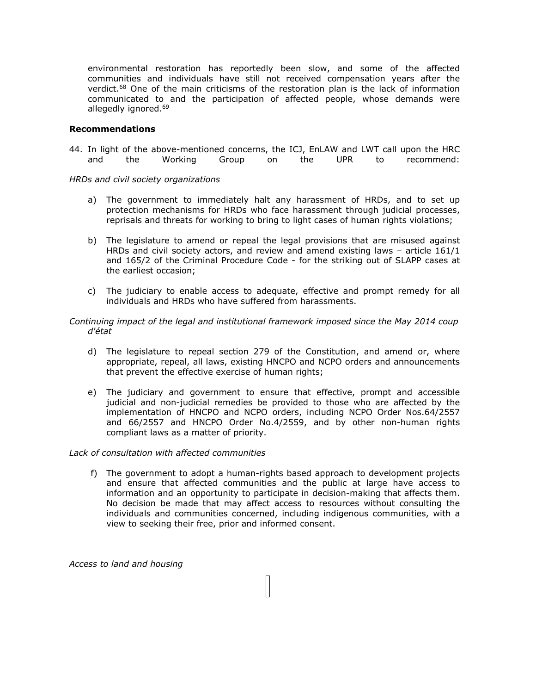environmental restoration has reportedly been slow, and some of the affected communities and individuals have still not received compensation years after the verdict.<sup>68</sup> One of the main criticisms of the restoration plan is the lack of information communicated to and the participation of affected people, whose demands were allegedly ignored.<sup>69</sup>

### **Recommendations**

44. In light of the above-mentioned concerns, the ICJ, EnLAW and LWT call upon the HRC and the Working Group on the UPR to recommend:

*HRDs and civil society organizations*

- a) The government to immediately halt any harassment of HRDs, and to set up protection mechanisms for HRDs who face harassment through judicial processes, reprisals and threats for working to bring to light cases of human rights violations;
- b) The legislature to amend or repeal the legal provisions that are misused against HRDs and civil society actors, and review and amend existing laws – article 161/1 and 165/2 of the Criminal Procedure Code - for the striking out of SLAPP cases at the earliest occasion;
- c) The judiciary to enable access to adequate, effective and prompt remedy for all individuals and HRDs who have suffered from harassments.
- *Continuing impact of the legal and institutional framework imposed since the May 2014 coup d'état*
	- d) The legislature to repeal section 279 of the Constitution, and amend or, where appropriate, repeal, all laws, existing HNCPO and NCPO orders and announcements that prevent the effective exercise of human rights;
	- e) The judiciary and government to ensure that effective, prompt and accessible judicial and non-judicial remedies be provided to those who are affected by the implementation of HNCPO and NCPO orders, including NCPO Order Nos.64/2557 and 66/2557 and HNCPO Order No.4/2559, and by other non-human rights compliant laws as <sup>a</sup> matter of priority.

### *Lack of consultation with affected communities*

f) The government to adopt <sup>a</sup> human-rights based approach to development projects and ensure that affected communities and the public at large have access to information and an opportunity to participate in decision-making that affects them. No decision be made that may affect access to resources without consulting the individuals and communities concerned, including indigenous communities, with <sup>a</sup> view to seeking their free, prior and informed consent.

11

*Access to land and housing*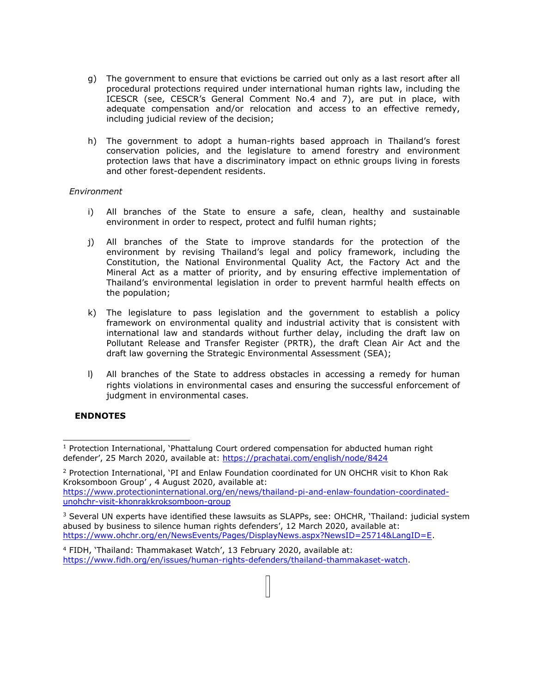- g) The government to ensure that evictions be carried out only as <sup>a</sup> last resort after all procedural protections required under international human rights law, including the ICESCR (see, CESCR'<sup>s</sup> General Comment No.4 and 7), are put in place, with adequate compensation and/or relocation and access to an effective remedy, including judicial review of the decision;
- h) The government to adopt <sup>a</sup> human-rights based approach in Thailand'<sup>s</sup> forest conservation policies, and the legislature to amend forestry and environment protection laws that have <sup>a</sup> discriminatory impact on ethnic groups living in forests and other forest-dependent residents.

## *Environment*

- i) All branches of the State to ensure <sup>a</sup> safe, clean, healthy and sustainable environment in order to respect, protect and fulfil human rights;
- j) All branches of the State to improve standards for the protection of the environment by revising Thailand'<sup>s</sup> legal and policy framework, including the Constitution, the National Environmental Quality Act, the Factory Act and the Mineral Act as <sup>a</sup> matter of priority, and by ensuring effective implementation of Thailand'<sup>s</sup> environmental legislation in order to prevent harmful health effects on the population;
- k) The legislature to pass legislation and the government to establish <sup>a</sup> policy framework on environmental quality and industrial activity that is consistent with international law and standards without further delay, including the draft law on Pollutant Release and Transfer Register (PRTR), the draft Clean Air Act and the draft law governing the Strategic Environmental Assessment (SEA);
- l) All branches of the State to address obstacles in accessing <sup>a</sup> remedy for human rights violations in environmental cases and ensuring the successful enforcement of judgment in environmental cases.

# **ENDNOTES**

<sup>&</sup>lt;sup>1</sup> Protection International, 'Phattalung Court ordered compensation for abducted human right defender', 25 March 2020, available at: <https://prachatai.com/english/node/8424>

<sup>&</sup>lt;sup>2</sup> Protection International, 'PI and Enlaw Foundation coordinated for UN OHCHR visit to Khon Rak Kroksomboon Group' , 4 August 2020, available at: [https://www.protectioninternational.org/en/news/thailand-pi-and-enlaw-foundation-coordinated](https://www.protectioninternational.org/en/news/thailand-pi-and-enlaw-foundation-coordinated-unohchr-visit-khonrakkroksomboon-group)[unohchr-visit-khonrakkroksomboon-group](https://www.protectioninternational.org/en/news/thailand-pi-and-enlaw-foundation-coordinated-unohchr-visit-khonrakkroksomboon-group)

<sup>&</sup>lt;sup>3</sup> Several UN experts have identified these lawsuits as SLAPPs, see: OHCHR, 'Thailand: judicial system abused by business to silence human rights defenders', 12 March 2020, available at: <https://www.ohchr.org/en/NewsEvents/Pages/DisplayNews.aspx?NewsID=25714&LangID=E>.

<sup>4</sup> FIDH, 'Thailand: Thammakaset Watch', 13 February 2020, available at: <https://www.fidh.org/en/issues/human-rights-defenders/thailand-thammakaset-watch>.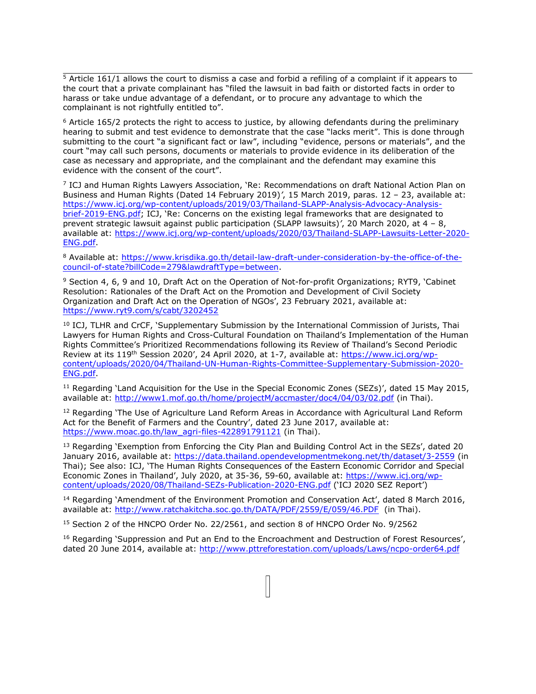$\frac{5}{5}$  Article 161/1 allows the court to dismiss a case and forbid a refiling of a complaint if it appears to the court that <sup>a</sup> private complainant has "filed the lawsuit in bad faith or distorted facts in order to harass or take undue advantage of <sup>a</sup> defendant, or to procure any advantage to which the complainant is not rightfully entitled to".

 $6$  Article 165/2 protects the right to access to justice, by allowing defendants during the preliminary hearing to submit and test evidence to demonstrate that the case "lacks merit". This is done through submitting to the court "<sup>a</sup> significant fact or law", including "evidence, persons or materials", and the court "may call such persons, documents or materials to provide evidence in its deliberation of the case as necessary and appropriate, and the complainant and the defendant may examine this evidence with the consent of the court".

7 ICJ and Human Rights Lawyers Association, 'Re: Recommendations on draft National Action Plan on Business and Human Rights (Dated 14 February 2019)*'*, 15 March 2019, paras. 12 – 23, available at: [https://www.icj.org/wp-content/uploads/2019/03/Thailand-SLAPP-Analysis-Advocacy-Analysis](https://www.icj.org/wp-content/uploads/2019/03/Thailand-SLAPP-Analysis-Advocacy-Analysis-brief-2019-ENG.pdf)[brief-2019-ENG.pdf](https://www.icj.org/wp-content/uploads/2019/03/Thailand-SLAPP-Analysis-Advocacy-Analysis-brief-2019-ENG.pdf); ICJ, 'Re: Concerns on the existing legal frameworks that are designated to prevent strategic lawsuit against public participation (SLAPP lawsuits)*'*, 20 March 2020, at 4 – 8, available at: [https://www.icj.org/wp-content/uploads/2020/03/Thailand-SLAPP-Lawsuits-Letter-2020-](https://www.icj.org/wp-content/uploads/2020/03/Thailand-SLAPP-Lawsuits-Letter-2020-ENG.pdf) [ENG.pdf](https://www.icj.org/wp-content/uploads/2020/03/Thailand-SLAPP-Lawsuits-Letter-2020-ENG.pdf).

<sup>8</sup> Available at: [https://www.krisdika.go.th/detail-law-draft-under-consideration-by-the-office-of-the](https://www.krisdika.go.th/detail-law-draft-under-consideration-by-the-office-of-the-council-of-state?billCode=279&lawdraftType=between)[council-of-state?billCode=279&lawdraftType=between](https://www.krisdika.go.th/detail-law-draft-under-consideration-by-the-office-of-the-council-of-state?billCode=279&lawdraftType=between).

<sup>9</sup> Section 4, 6, 9 and 10, Draft Act on the Operation of Not-for-profit Organizations; RYT9, 'Cabinet Resolution: Rationales of the Draft Act on the Promotion and Development of Civil Society Organization and Draft Act on the Operation of NGOs', 23 February 2021, available at: <https://www.ryt9.com/s/cabt/3202452>

 $^{10}$  ICJ, TLHR and CrCF, `Supplementary Submission by the International Commission of Jurists, Thai Lawyers for Human Rights and Cross-Cultural Foundation on Thailand'<sup>s</sup> Implementation of the Human Rights Committee'<sup>s</sup> Prioritized Recommendations following its Review of Thailand'<sup>s</sup> Second Periodic Review at its 119th Session 2020', 24 April 2020, at 1-7, available at: [https://www.icj.org/wp](https://www.icj.org/wp-content/uploads/2020/04/Thailand-UN-Human-Rights-Committee-Supplementary-Submission-2020-ENG.pdf)[content/uploads/2020/04/Thailand-UN-Human-Rights-Committee-Supplementary-Submission-2020-](https://www.icj.org/wp-content/uploads/2020/04/Thailand-UN-Human-Rights-Committee-Supplementary-Submission-2020-ENG.pdf) [ENG.pdf](https://www.icj.org/wp-content/uploads/2020/04/Thailand-UN-Human-Rights-Committee-Supplementary-Submission-2020-ENG.pdf).

 $11$  Regarding 'Land Acquisition for the Use in the Special Economic Zones (SEZs)', dated 15 May 2015, available at: <http://www1.mof.go.th/home/projectM/accmaster/doc4/04/03/02.pdf> (in Thai).

<sup>12</sup> Regarding 'The Use of Agriculture Land Reform Areas in Accordance with Agricultural Land Reform Act for the Benefit of Farmers and the Country', dated 23 June 2017, available at: [https://www.moac.go.th/law\\_agri-files-422891791121](https://www.moac.go.th/law_agri-files-422891791121) (in Thai).

<sup>13</sup> Regarding 'Exemption from Enforcing the City Plan and Building Control Act in the SEZs', dated 20 January 2016, available at: <https://data.thailand.opendevelopmentmekong.net/th/dataset/3-2559> (in Thai); See also: ICJ, 'The Human Rights Consequences of the Eastern Economic Corridor and Special Economic Zones in Thailand', July 2020, at 35-36, 59-60, available at: [https://www.icj.org/wp](https://www.icj.org/wp-content/uploads/2020/08/Thailand-SEZs-Publication-2020-ENG.pdf)[content/uploads/2020/08/Thailand-SEZs-Publication-2020-ENG.pdf](https://www.icj.org/wp-content/uploads/2020/08/Thailand-SEZs-Publication-2020-ENG.pdf) ('ICJ 2020 SEZ Report')

<sup>14</sup> Regarding 'Amendment of the Environment Promotion and Conservation Act', dated 8 March 2016, available at: <http://www.ratchakitcha.soc.go.th/DATA/PDF/2559/E/059/46.PDF> (in Thai).

<sup>15</sup> Section 2 of the HNCPO Order No. 22/2561, and section 8 of HNCPO Order No. 9/2562

<sup>16</sup> Regarding 'Suppression and Put an End to the Encroachment and Destruction of Forest Resources', dated 20 June 2014, available at: <http://www.pttreforestation.com/uploads/Laws/ncpo-order64.pdf>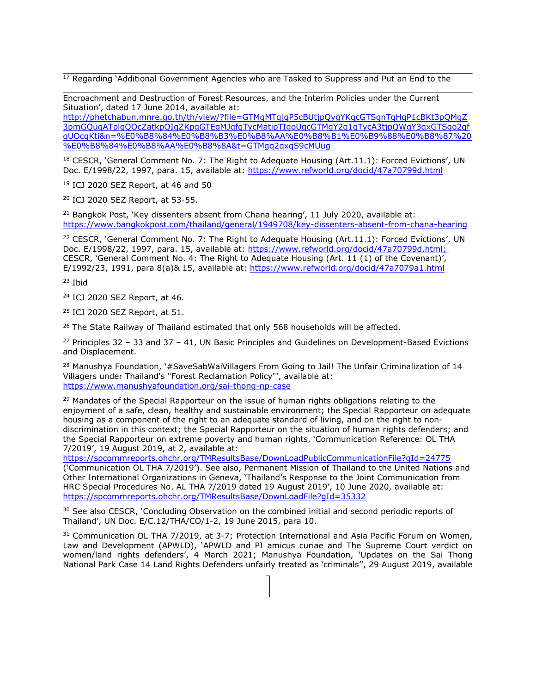$17$  Regarding 'Additional Government Agencies who are Tasked to Suppress and Put an End to the

Encroachment and Destruction of Forest Resources, and the Interim Policies under the Current Situation', dated 17 June 2014, available at:

[http://phetchabun.mnre.go.th/th/view/?file=GTMgMTqjqP5cBUtjpQygYKqcGTSgnTqHqP1cBKt3pQMgZ](http://phetchabun.mnre.go.th/th/view/?file=GTMgMTqjqP5cBUtjpQygYKqcGTSgnTqHqP1cBKt3pQMgZ3pmGQugATplqQOcZatkpQIgZKpgGTEgMJqfqTycMatipTIgoUqcGTMgY2q1qTycA3tjpQWgY3qxGTSgo2qfqUOcqKti&n=%E0%B8%84%E0%B8%B3%E0%B8%AA%E0%B8%B1%E0%B9%88%E0%B8%87%20%E0%B8%84%E0%B8%AA%E0%B8%8A&t=GTMgq2qxqS9cMUug) [3pmGQugATplqQOcZatkpQIgZKpgGTEgMJqfqTycMatipTIgoUqcGTMgY2q1qTycA3tjpQWgY3qxGTSgo2qf](http://phetchabun.mnre.go.th/th/view/?file=GTMgMTqjqP5cBUtjpQygYKqcGTSgnTqHqP1cBKt3pQMgZ3pmGQugATplqQOcZatkpQIgZKpgGTEgMJqfqTycMatipTIgoUqcGTMgY2q1qTycA3tjpQWgY3qxGTSgo2qfqUOcqKti&n=%E0%B8%84%E0%B8%B3%E0%B8%AA%E0%B8%B1%E0%B9%88%E0%B8%87%20%E0%B8%84%E0%B8%AA%E0%B8%8A&t=GTMgq2qxqS9cMUug) [qUOcqKti&n=%E0%B8%84%E0%B8%B3%E0%B8%AA%E0%B8%B1%E0%B9%88%E0%B8%87%20](http://phetchabun.mnre.go.th/th/view/?file=GTMgMTqjqP5cBUtjpQygYKqcGTSgnTqHqP1cBKt3pQMgZ3pmGQugATplqQOcZatkpQIgZKpgGTEgMJqfqTycMatipTIgoUqcGTMgY2q1qTycA3tjpQWgY3qxGTSgo2qfqUOcqKti&n=%E0%B8%84%E0%B8%B3%E0%B8%AA%E0%B8%B1%E0%B9%88%E0%B8%87%20%E0%B8%84%E0%B8%AA%E0%B8%8A&t=GTMgq2qxqS9cMUug) [%E0%B8%84%E0%B8%AA%E0%B8%8A&t=GTMgq2qxqS9cMUug](http://phetchabun.mnre.go.th/th/view/?file=GTMgMTqjqP5cBUtjpQygYKqcGTSgnTqHqP1cBKt3pQMgZ3pmGQugATplqQOcZatkpQIgZKpgGTEgMJqfqTycMatipTIgoUqcGTMgY2q1qTycA3tjpQWgY3qxGTSgo2qfqUOcqKti&n=%E0%B8%84%E0%B8%B3%E0%B8%AA%E0%B8%B1%E0%B9%88%E0%B8%87%20%E0%B8%84%E0%B8%AA%E0%B8%8A&t=GTMgq2qxqS9cMUug)

 $18$  CESCR, 'General Comment No. 7: The Right to Adequate Housing (Art.11.1): Forced Evictions', UN Doc. E/1998/22, 1997, para. 15, available at: <https://www.refworld.org/docid/47a70799d.html>

19 ICJ 2020 SEZ Report, at 46 and 50

<sup>20</sup> ICJ 2020 SEZ Report, at 53-55.

<sup>21</sup> Bangkok Post, 'Key dissenters absent from Chana hearing', 11 July 2020, available at: <https://www.bangkokpost.com/thailand/general/1949708/key-dissenters-absent-from-chana-hearing>

<sup>22</sup> CESCR, 'General Comment No. 7: The Right to Adequate Housing (Art.11.1): Forced Evictions', UN Doc. E/1998/22, 1997, para. 15, available at: <https://www.refworld.org/docid/47a70799d.html>; CESCR, 'General Comment No. 4: The Right to Adequate Housing (Art. 11 (1) of the Covenant)', E/1992/23, 1991, para 8(a)& 15, available at: <https://www.refworld.org/docid/47a7079a1.html>

23 Ibid

24 ICJ 2020 SEZ Report, at 46.

25 ICJ 2020 SEZ Report, at 51.

<sup>26</sup> The State Railway of Thailand estimated that only 568 households will be affected.

<sup>27</sup> Principles 32 - 33 and 37 - 41, UN Basic Principles and Guidelines on Development-Based Evictions and Displacement.

<sup>28</sup> Manushya Foundation, '#SaveSabWaiVillagers From Going to Jail! The Unfair Criminalization of 14 Villagers under Thailand's "Forest Reclamation Policy"', available at: <https://www.manushyafoundation.org/sai-thong-np-case>

 $29$  Mandates of the Special Rapporteur on the issue of human rights obligations relating to the enjoyment of <sup>a</sup> safe, clean, healthy and sustainable environment; the Special Rapporteur on adequate housing as <sup>a</sup> component of the right to an adequate standard of living, and on the right to nondiscrimination in this context; the Special Rapporteur on the situation of human rights defenders; and the Special Rapporteur on extreme poverty and human rights, 'Communication Reference: OL THA 7/2019', 19 August 2019, at 2, available at:

<https://spcommreports.ohchr.org/TMResultsBase/DownLoadPublicCommunicationFile?gId=24775> ('Communication OL THA 7/2019'). See also, Permanent Mission of Thailand to the United Nations and Other International Organizations in Geneva, 'Thailand'<sup>s</sup> Response to the Joint Communication from HRC Special Procedures No. AL THA 7/2019 dated 19 August 2019', 10 June 2020, available at: <https://spcommreports.ohchr.org/TMResultsBase/DownLoadFile?gId=35332>

<sup>30</sup> See also CESCR, 'Concluding Observation on the combined initial and second periodic reports of Thailand', UN Doc. E/C.12/THA/CO/1-2, 19 June 2015, para 10.

<sup>31</sup> Communication OL THA 7/2019, at 3-7; Protection International and Asia Pacific Forum on Women, Law and Development (APWLD), 'APWLD and PI amicus curiae and The Supreme Court verdict on women/land rights defenders', 4 March 2021; Manushya Foundation, 'Updates on the Sai Thong National Park Case 14 Land Rights Defenders unfairly treated as 'criminals'', 29 August 2019, available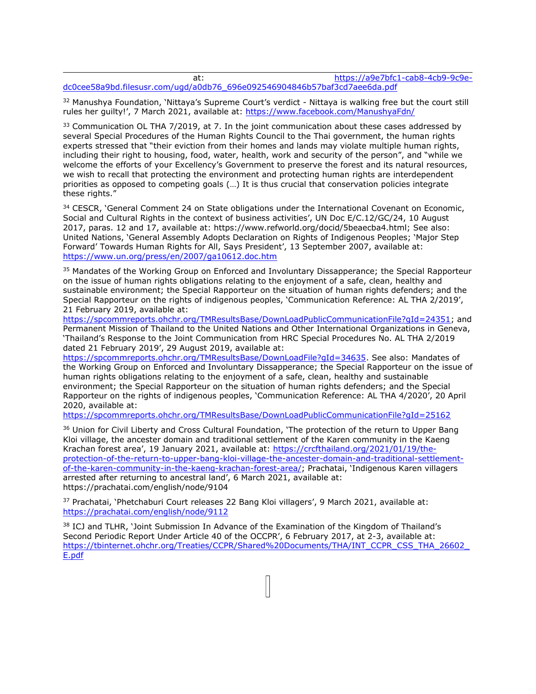| at |                                                                           | https://a9e7bfc1-cab8-4cb9-9c9e- |
|----|---------------------------------------------------------------------------|----------------------------------|
|    | dc0cee58a9bd.filesusr.com/ugd/a0db76_696e092546904846b57baf3cd7aee6da.pdf |                                  |

<sup>32</sup> Manushya Foundation, 'Nittaya's Supreme Court's verdict - Nittaya is walking free but the court still rules her guilty!', 7 March 2021, available at: <https://www.facebook.com/ManushyaFdn/>

 $33$  Communication OL THA 7/2019, at 7. In the joint communication about these cases addressed by several Special Procedures of the Human Rights Council to the Thai government, the human rights experts stressed that "their eviction from their homes and lands may violate multiple human rights, including their right to housing, food, water, health, work and security of the person", and "while we welcome the efforts of your Excellency'<sup>s</sup> Government to preserve the forest and its natural resources, we wish to recall that protecting the environment and protecting human rights are interdependent priorities as opposed to competing goals (…) It is thus crucial that conservation policies integrate these rights."

<sup>34</sup> CESCR, 'General Comment 24 on State obligations under the International Covenant on Economic, Social and Cultural Rights in the context of business activities', UN Doc E/C.12/GC/24, 10 August 2017, paras. 12 and 17, available at: https://www.refworld.org/docid/5beaecba4.html; See also: United Nations, 'General Assembly Adopts Declaration on Rights of Indigenous Peoples; 'Major Step Forward' Towards Human Rights for All, Says President', 13 September 2007, available at: <https://www.un.org/press/en/2007/ga10612.doc.htm>

<sup>35</sup> Mandates of the Working Group on Enforced and Involuntary Dissapperance; the Special Rapporteur on the issue of human rights obligations relating to the enjoyment of <sup>a</sup> safe, clean, healthy and sustainable environment; the Special Rapporteur on the situation of human rights defenders; and the Special Rapporteur on the rights of indigenous peoples, 'Communication Reference: AL THA 2/2019', 21 February 2019, available at:

<https://spcommreports.ohchr.org/TMResultsBase/DownLoadPublicCommunicationFile?gId=24351>; and Permanent Mission of Thailand to the United Nations and Other International Organizations in Geneva, 'Thailand'<sup>s</sup> Response to the Joint Communication from HRC Special Procedures No. AL THA 2/2019 dated 21 February 2019', 29 August 2019, available at:

<https://spcommreports.ohchr.org/TMResultsBase/DownLoadFile?gId=34635>. See also: Mandates of the Working Group on Enforced and Involuntary Dissapperance; the Special Rapporteur on the issue of human rights obligations relating to the enjoyment of <sup>a</sup> safe, clean, healthy and sustainable environment; the Special Rapporteur on the situation of human rights defenders; and the Special Rapporteur on the rights of indigenous peoples, 'Communication Reference: AL THA 4/2020', 20 April 2020, available at:

<https://spcommreports.ohchr.org/TMResultsBase/DownLoadPublicCommunicationFile?gId=25162>

<sup>36</sup> Union for Civil Liberty and Cross Cultural Foundation, 'The protection of the return to Upper Bang Kloi village, the ancester domain and traditional settlement of the Karen community in the Kaeng Krachan forest area', 19 January 2021, available at: [https://crcfthailand.org/2021/01/19/the](https://crcfthailand.org/2021/01/19/the-protection-of-the-return-to-upper-bang-kloi-village-the-ancester-domain-and-traditional-settlement-of-the-karen-community-in-the-kaeng-krachan-forest-area/)[protection-of-the-return-to-upper-bang-kloi-village-the-ancester-domain-and-traditional-settlement](https://crcfthailand.org/2021/01/19/the-protection-of-the-return-to-upper-bang-kloi-village-the-ancester-domain-and-traditional-settlement-of-the-karen-community-in-the-kaeng-krachan-forest-area/)[of-the-karen-community-in-the-kaeng-krachan-forest-area/](https://crcfthailand.org/2021/01/19/the-protection-of-the-return-to-upper-bang-kloi-village-the-ancester-domain-and-traditional-settlement-of-the-karen-community-in-the-kaeng-krachan-forest-area/); Prachatai, 'Indigenous Karen villagers arrested after returning to ancestral land', 6 March 2021, available at: <https://prachatai.com/english/node/9104>

<sup>37</sup> Prachatai, `Phetchaburi Court releases 22 Bang Kloi villagers', 9 March 2021, available at: <https://prachatai.com/english/node/9112>

<sup>38</sup> ICJ and TLHR, `Joint Submission In Advance of the Examination of the Kingdom of Thailand's Second Periodic Report Under Article 40 of the OCCPR', 6 February 2017, at 2-3, available at: [https://tbinternet.ohchr.org/Treaties/CCPR/Shared%20Documents/THA/INT\\_CCPR\\_CSS\\_THA\\_26602\\_](https://tbinternet.ohchr.org/Treaties/CCPR/Shared%20Documents/THA/INT_CCPR_CSS_THA_26602_E.pdf) [E.pdf](https://tbinternet.ohchr.org/Treaties/CCPR/Shared%20Documents/THA/INT_CCPR_CSS_THA_26602_E.pdf)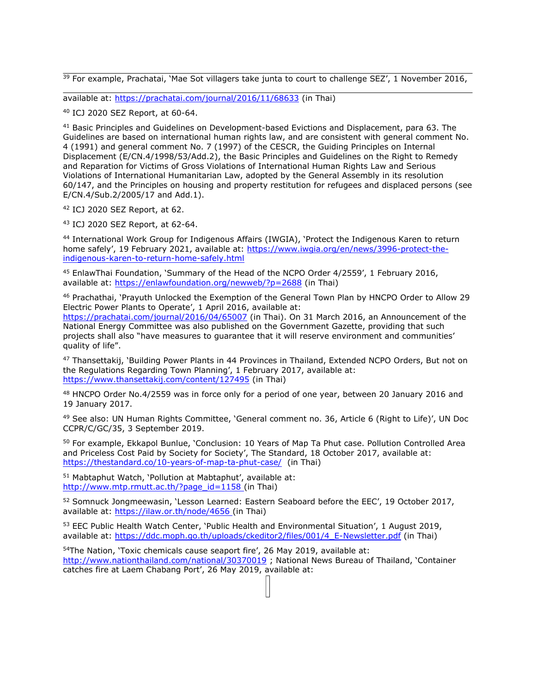<sup>39</sup> For example, Prachatai, `Mae Sot villagers take junta to court to challenge SEZ', 1 November 2016,

available at: <https://prachatai.com/journal/2016/11/68633> (in Thai)

40 ICJ 2020 SEZ Report, at 60-64.

<sup>41</sup> Basic Principles and Guidelines on Development-based Evictions and Displacement, para 63. The Guidelines are based on international human rights law, and are consistent with general comment No. 4 (1991) and general comment No. 7 (1997) of the CESCR, the Guiding Principles on Internal Displacement (E/CN.4/1998/53/Add.2), the Basic Principles and Guidelines on the Right to Remedy and Reparation for Victims of Gross Violations of International Human Rights Law and Serious Violations of International Humanitarian Law, adopted by the General Assembly in its resolution 60/147, and the Principles on housing and property restitution for refugees and displaced persons (see E/CN.4/Sub.2/2005/17 and Add.1).

42 ICJ 2020 SEZ Report, at 62.

43 ICJ 2020 SEZ Report, at 62-64.

44 International Work Group for Indigenous Affairs (IWGIA), 'Protect the Indigenous Karen to return home safely', 19 February 2021, available at: [https://www.iwgia.org/en/news/3996-protect-the](https://www.iwgia.org/en/news/3996-protect-the-indigenous-karen-to-return-home-safely.html)[indigenous-karen-to-return-home-safely.html](https://www.iwgia.org/en/news/3996-protect-the-indigenous-karen-to-return-home-safely.html)

<sup>45</sup> EnlawThai Foundation, `Summary of the Head of the NCPO Order 4/2559', 1 February 2016, available at: <https://enlawfoundation.org/newweb/?p=2688> (in Thai)

<sup>46</sup> Prachathai, `Prayuth Unlocked the Exemption of the General Town Plan by HNCPO Order to Allow 29 Electric Power Plants to Operate', 1 April 2016, available at:

<https://prachatai.com/journal/2016/04/65007> (in Thai). On 31 March 2016, an Announcement of the National Energy Committee was also published on the Government Gazette, providing that such projects shall also "have measures to guarantee that it will reserve environment and communities' quality of life".

<sup>47</sup> Thansettakij, `Building Power Plants in 44 Provinces in Thailand, Extended NCPO Orders, But not on the Regulations Regarding Town Planning', 1 February 2017, available at: <https://www.thansettakij.com/content/127495> (in Thai)

48 HNCPO Order No.4/2559 was in force only for a period of one year, between 20 January 2016 and 19 January 2017.

<sup>49</sup> See also: UN Human Rights Committee, 'General comment no. 36, Article 6 (Right to Life)', UN Doc CCPR/C/GC/35, 3 September 2019.

<sup>50</sup> For example, Ekkapol Bunlue, `Conclusion: 10 Years of Map Ta Phut case. Pollution Controlled Area and Priceless Cost Paid by Society for Society', The Standard, 18 October 2017, available at: <https://thestandard.co/10-years-of-map-ta-phut-case/> (in Thai)

<sup>51</sup> Mabtaphut Watch, 'Pollution at Mabtaphut', available at: [http://www.mtp.rmutt.ac.th/?page\\_id=1158](http://www.mtp.rmutt.ac.th/?page_id=1158) (in Thai)

<sup>52</sup> Somnuck Jongmeewasin, 'Lesson Learned: Eastern Seaboard before the EEC', 19 October 2017, available at: <https://ilaw.or.th/node/4656> (in Thai)

<sup>53</sup> EEC Public Health Watch Center, `Public Health and Environmental Situation', 1 August 2019, available at: [https://ddc.moph.go.th/uploads/ckeditor2/files/001/4\\_E-Newsletter.pdf](https://ddc.moph.go.th/uploads/ckeditor2/files/001/4_E-Newsletter.pdf) (in Thai)

<sup>54</sup>The Nation, 'Toxic chemicals cause seaport fire', 26 May 2019, available at: <http://www.nationthailand.com/national/30370019> ; National News Bureau of Thailand, 'Container catches fire at Laem Chabang Port', 26 May 2019, available at: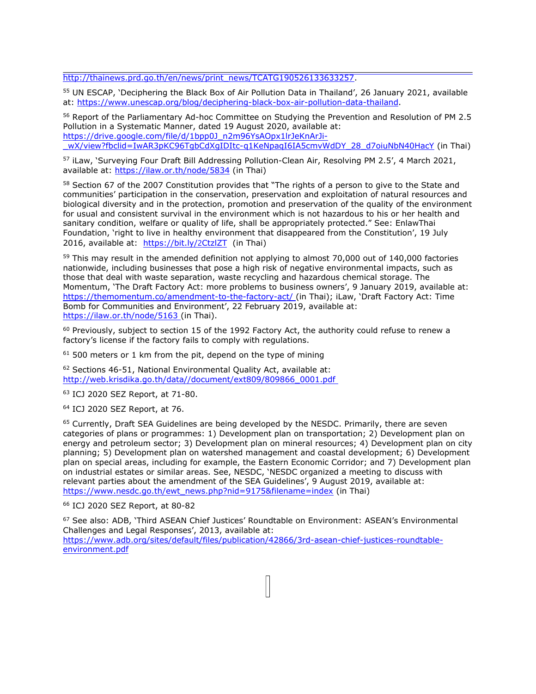[http://thainews.prd.go.th/en/news/print\\_news/TCATG190526133633257](http://thainews.prd.go.th/en/news/print_news/TCATG190526133633257).

<sup>55</sup> UN ESCAP, 'Deciphering the Black Box of Air Pollution Data in Thailand', 26 January 2021, available at: <https://www.unescap.org/blog/deciphering-black-box-air-pollution-data-thailand>.

<sup>56</sup> Report of the Parliamentary Ad-hoc Committee on Studying the Prevention and Resolution of PM 2.5 Pollution in <sup>a</sup> Systematic Manner, dated 19 August 2020, available at: [https://drive.google.com/file/d/1bpp0J\\_n2m96YsAOpx1lrJeKnArJi](https://drive.google.com/file/d/1bpp0J_n2m96YsAOpx1lrJeKnArJi-_wX/view?fbclid=IwAR3pKC96TgbCdXgIDItc-q1KeNpaqI6IA5cmvWdDY_28_d7oiuNbN40HacY) wX/view?fbclid=IwAR3pKC96TqbCdXqIDItc-q1KeNpaqI6IA5cmvWdDY\_28\_d7oiuNbN40HacY (in Thai)

<sup>57</sup> iLaw, `Surveying Four Draft Bill Addressing Pollution-Clean Air, Resolving PM 2.5', 4 March 2021, available at: <https://ilaw.or.th/node/5834> (in Thai)

<sup>58</sup> Section 67 of the 2007 Constitution provides that "The rights of a person to give to the State and communities' participation in the conservation, preservation and exploitation of natural resources and biological diversity and in the protection, promotion and preservation of the quality of the environment for usual and consistent survival in the environment which is not hazardous to his or her health and sanitary condition, welfare or quality of life, shall be appropriately protected." See: EnlawThai Foundation, 'right to live in healthy environment that disappeared from the Constitution', 19 July 2016, available at: [https://bit.ly/](https://bit.ly/2CtzlZT)2CtzlZT (in Thai)

<sup>59</sup> This may result in the amended definition not applying to almost 70,000 out of 140,000 factories nationwide, including businesses that pose <sup>a</sup> high risk of negative environmental impacts, such as those that deal with waste separation, waste recycling and hazardous chemical storage. The Momentum, 'The Draft Factory Act: more problems to business owners', 9 January 2019, available at: <https://themomentum.co/amendment-to-the-factory-act/> (in Thai); iLaw, 'Draft Factory Act: Time Bomb for Communities and Environment', 22 February 2019, available at: <https://ilaw.or.th/node/5163> (in Thai).

 $^{60}$  Previously, subject to section 15 of the 1992 Factory Act, the authority could refuse to renew a factory'<sup>s</sup> license if the factory fails to comply with regulations.

 $^{61}$  500 meters or 1 km from the pit, depend on the type of mining

<sup>62</sup> Sections 46-51, National Environmental Quality Act, available at: [http://web.krisdika.go.th/data//document/ext809/809866\\_0001.pdf](http://web.krisdika.go.th/data//document/ext809/809866_0001.pdf)

63 ICJ 2020 SEZ Report, at 71-80.

64 ICJ 2020 SEZ Report, at 76.

<sup>65</sup> Currently, Draft SEA Guidelines are being developed by the NESDC. Primarily, there are seven categories of plans or programmes: 1) Development plan on transportation; 2) Development plan on energy and petroleum sector; 3) Development plan on mineral resources; 4) Development plan on city planning; 5) Development plan on watershed management and coastal development; 6) Development plan on special areas, including for example, the Eastern Economic Corridor; and 7) Development plan on industrial estates or similar areas. See, NESDC, 'NESDC organized <sup>a</sup> meeting to discuss with relevant parties about the amendment of the SEA Guidelines', 9 August 2019, available at: [https://www.nesdc.go.th/ewt\\_news.php?nid=9175&filename=index](https://www.nesdc.go.th/ewt_news.php?nid=9175&filename=index) (in Thai)

66 ICJ 2020 SEZ Report, at 80-82

<sup>67</sup> See also: ADB, 'Third ASEAN Chief Justices' Roundtable on Environment: ASEAN'<sup>s</sup> Environmental Challenges and Legal Responses', 2013, available at: [https://www.adb.org/sites/default/files/publication/42866/3rd-asean-chief-justices-roundtable](https://www.adb.org/sites/default/files/publication/42866/3rd-asean-chief-justices-roundtable-environment.pdf)[environment.pdf](https://www.adb.org/sites/default/files/publication/42866/3rd-asean-chief-justices-roundtable-environment.pdf)